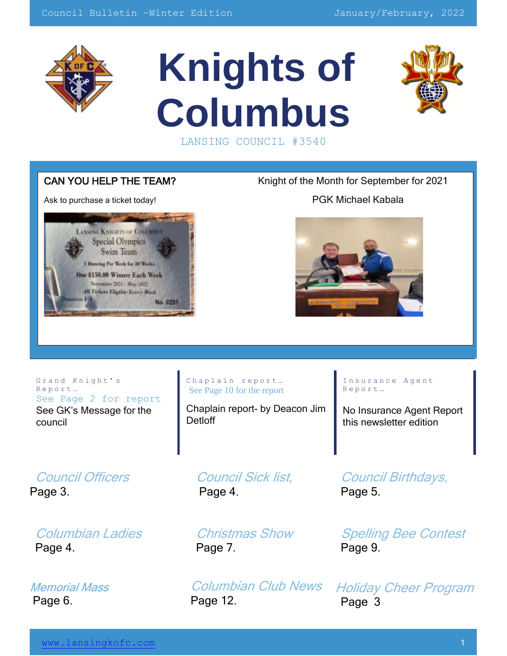

# **Knights of Columbus** LANSING COUNCIL #3540



Ask to purchase a ticket today!<br>
PGK Michael Kabala



CAN YOU HELP THE TEAM? Knight of the Month for September for 2021



Grand Knight's R e p o r t … See Page 2 for report See GK's Message for the council

#### Chaplain report... See Page 10 for the report

Chaplain report- by Deacon Jim **Detloff** 

Insurance Agent R e p o r t …

No Insurance Agent Report this newsletter edition

Council Officers Page 3.

Columbian Ladies Page 4.

Memorial Mass Page 6.

Council Sick list, Page 4.

Christmas Show Page 7.

Columbian Club News Page 12.

Council Birthdays, Page 5.

Spelling Bee Contest Page 9.

Holiday Cheer Program Page 3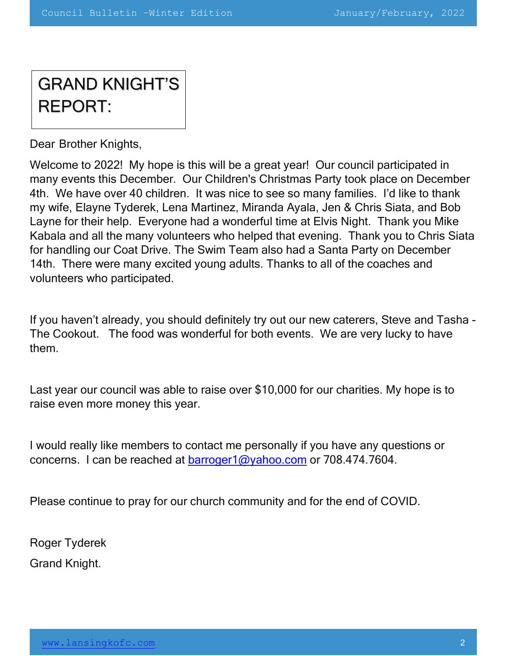# GRAND KNIGHT'S REPORT:

Dear Brother Knights,

Welcome to 2022! My hope is this will be a great year! Our council participated in many events this December. Our Children's Christmas Party took place on December 4th. We have over 40 children. It was nice to see so many families. I'd like to thank my wife, Elayne Tyderek, Lena Martinez, Miranda Ayala, Jen & Chris Siata, and Bob Layne for their help. Everyone had a wonderful time at Elvis Night. Thank you Mike Kabala and all the many volunteers who helped that evening. Thank you to Chris Siata for handling our Coat Drive. The Swim Team also had a Santa Party on December 14th. There were many excited young adults. Thanks to all of the coaches and volunteers who participated.

If you haven't already, you should definitely try out our new caterers, Steve and Tasha - The Cookout. The food was wonderful for both events. We are very lucky to have them.

Last year our council was able to raise over \$10,000 for our charities. My hope is to raise even more money this year.

I would really like members to contact me personally if you have any questions or concerns. I can be reached at barroger1@yahoo.com or 708.474.7604.

Please continue to pray for our church community and for the end of COVID.

Roger Tyderek

Grand Knight.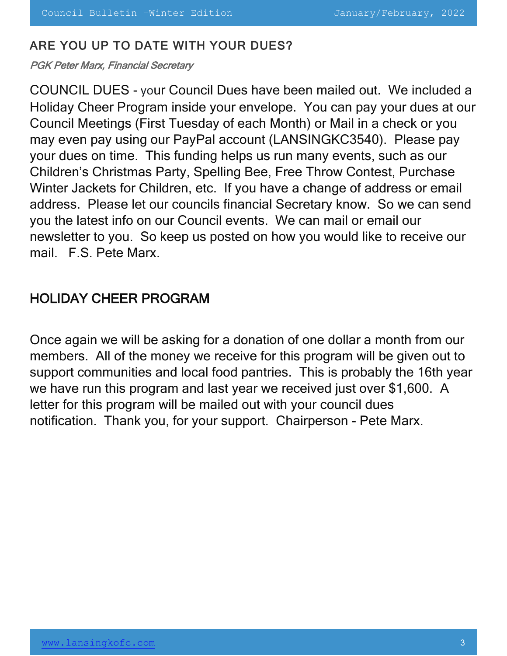#### ARE YOU UP TO DATE WITH YOUR DUES?

PGK Peter Marx, Financial Secretary

COUNCIL DUES - your Council Dues have been mailed out. We included a Holiday Cheer Program inside your envelope. You can pay your dues at our Council Meetings (First Tuesday of each Month) or Mail in a check or you may even pay using our PayPal account (LANSINGKC3540). Please pay your dues on time. This funding helps us run many events, such as our Children's Christmas Party, Spelling Bee, Free Throw Contest, Purchase Winter Jackets for Children, etc. If you have a change of address or email address. Please let our councils financial Secretary know. So we can send you the latest info on our Council events. We can mail or email our newsletter to you. So keep us posted on how you would like to receive our mail. F.S. Pete Marx.

### HOLIDAY CHEER PROGRAM

Once again we will be asking for a donation of one dollar a month from our members. All of the money we receive for this program will be given out to support communities and local food pantries. This is probably the 16th year we have run this program and last year we received just over \$1,600. A letter for this program will be mailed out with your council dues notification. Thank you, for your support. Chairperson - Pete Marx.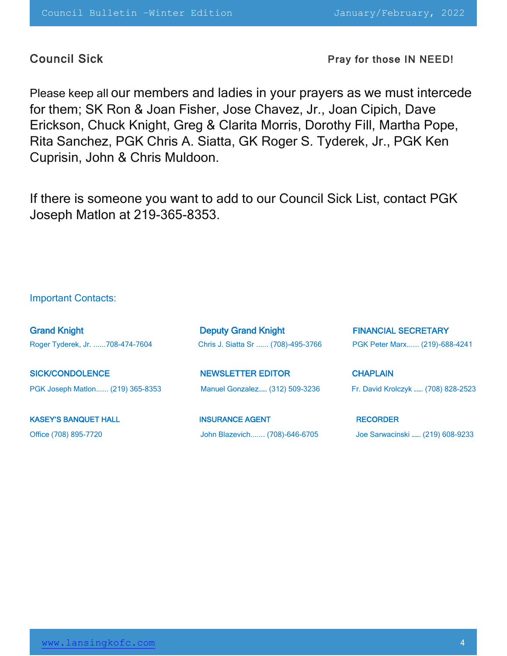Council Sick **Pray for those IN NEED!** 

Please keep all our members and ladies in your prayers as we must intercede for them; SK Ron & Joan Fisher, Jose Chavez, Jr., Joan Cipich, Dave Erickson, Chuck Knight, Greg & Clarita Morris, Dorothy Fill, Martha Pope, Rita Sanchez, PGK Chris A. Siatta, GK Roger S. Tyderek, Jr., PGK Ken Cuprisin, John & Chris Muldoon.

If there is someone you want to add to our Council Sick List, contact PGK Joseph Matlon at 219-365-8353.

#### Important Contacts:

| <b>Grand Knight</b>              | <b>Deputy Grand Knight</b>         | <b>FINANCIAL SECRETARY</b>         |
|----------------------------------|------------------------------------|------------------------------------|
| Roger Tyderek, Jr. 708-474-7604  | Chris J. Siatta Sr  (708)-495-3766 | PGK Peter Marx (219)-688-4241      |
| <b>SICK/CONDOLENCE</b>           | <b>NEWSLETTER EDITOR</b>           | <b>CHAPLAIN</b>                    |
| PGK Joseph Matlon (219) 365-8353 | Manuel Gonzalez (312) 509-3236     | Fr. David Krolczyk  (708) 828-2523 |
| <b>KASEY'S BANQUET HALL</b>      | <b>INSURANCE AGENT</b>             | <b>RECORDER</b>                    |
| Office (708) 895-7720            | John Blazevich (708)-646-6705      | Joe Sarwacinski  (219) 608-9233    |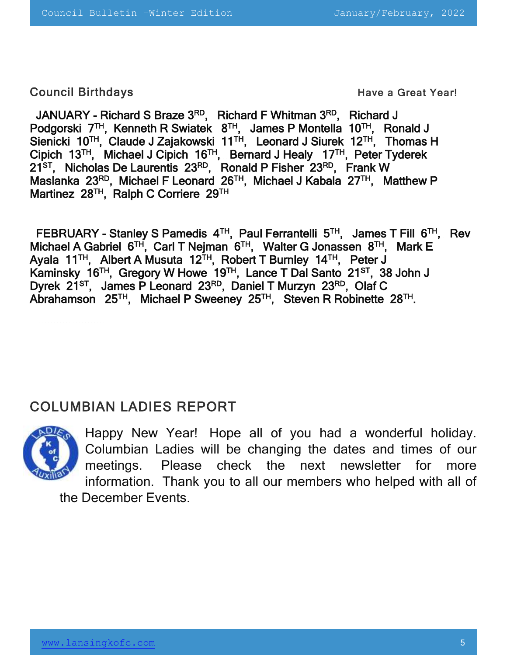Council Birthdays **Council Birthdays Have a Great Year!** 

JANUARY - Richard S Braze 3RD, Richard F Whitman 3RD, Richard J Podgorski 7<sup>TH</sup>, Kenneth R Swiatek 8<sup>TH</sup>, James P Montella 10<sup>TH</sup>, Ronald J Sienicki 10<sup>TH</sup>, Claude J Zajakowski 11<sup>TH</sup>, Leonard J Siurek 12<sup>TH</sup>, Thomas H Cipich 13<sup>TH</sup>, Michael J Cipich 16<sup>TH</sup>, Bernard J Healy 17<sup>TH</sup>, Peter Tyderek 21<sup>st</sup>, Nicholas De Laurentis 23<sup>RD</sup>, Ronald P Fisher 23<sup>RD</sup>, Frank W Maslanka 23<sup>RD</sup>, Michael F Leonard 26<sup>TH</sup>, Michael J Kabala 27<sup>TH</sup>, Matthew P Martinez 28<sup>TH</sup>, Ralph C Corriere 29<sup>TH</sup>

FEBRUARY - Stanley S Pamedis  $4^{TH}$ , Paul Ferrantelli  $5^{TH}$ , James T Fill  $6^{TH}$ , Rev Michael A Gabriel 6<sup>TH</sup>, Carl T Nejman 6<sup>TH</sup>, Walter G Jonassen 8<sup>TH</sup>, Mark E Ayala 11<sup>TH</sup>, Albert A Musuta 12<sup>TH</sup>, Robert T Burnley 14<sup>TH</sup>, Peter J Kaminsky 16<sup>TH</sup>, Gregory W Howe 19<sup>TH</sup>, Lance T Dal Santo 21<sup>sT</sup>, 38 John J Dyrek 21<sup>st</sup>, James P Leonard 23<sup>RD</sup>, Daniel T Murzyn 23<sup>RD</sup>, Olaf C Abrahamson 25TH, Michael P Sweeney 25TH, Steven R Robinette 28TH.

## COLUMBIAN LADIES REPORT



Happy New Year! Hope all of you had a wonderful holiday. Columbian Ladies will be changing the dates and times of our meetings. Please check the next newsletter for more information. Thank you to all our members who helped with all of the December Events.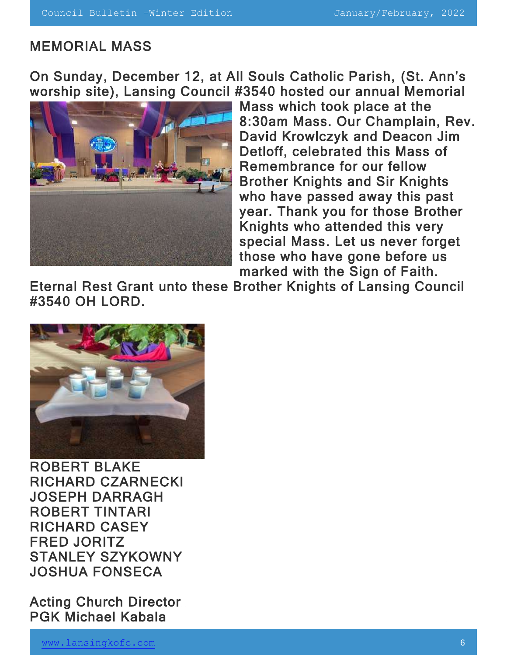#### MEMORIAL MASS

On Sunday, December 12, at All Souls Catholic Parish, (St. Ann's worship site), Lansing Council #3540 hosted our annual Memorial



Mass which took place at the 8:30am Mass. Our Champlain, Rev. David Krowlczyk and Deacon Jim Detloff, celebrated this Mass of Remembrance for our fellow Brother Knights and Sir Knights who have passed away this past year. Thank you for those Brother Knights who attended this very special Mass. Let us never forget those who have gone before us marked with the Sign of Faith.

Eternal Rest Grant unto these Brother Knights of Lansing Council #3540 OH LORD.



ROBERT BLAKE RICHARD CZARNECKI JOSEPH DARRAGH ROBERT TINTARI RICHARD CASEY FRED JORITZ STANLEY SZYKOWNY JOSHUA FONSECA

Acting Church Director PGK Michael Kabala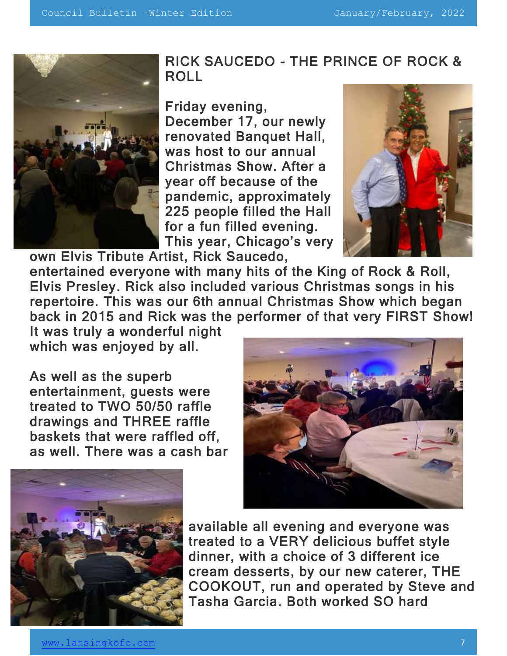

### RICK SAUCEDO - THE PRINCE OF ROCK & ROLL

Friday evening,

December 17, our newly renovated Banquet Hall, was host to our annual Christmas Show. After a year off because of the pandemic, approximately 225 people filled the Hall for a fun filled evening. This year, Chicago's very own Elvis Tribute Artist, Rick Saucedo,



entertained everyone with many hits of the King of Rock & Roll, Elvis Presley. Rick also included various Christmas songs in his repertoire. This was our 6th annual Christmas Show which began back in 2015 and Rick was the performer of that very FIRST Show!

It was truly a wonderful night which was enjoyed by all.

As well as the superb entertainment, guests were treated to TWO 50/50 raffle drawings and THREE raffle baskets that were raffled off, as well. There was a cash bar





available all evening and everyone was treated to a VERY delicious buffet style dinner, with a choice of 3 different ice cream desserts, by our new caterer, THE COOKOUT, run and operated by Steve and Tasha Garcia. Both worked SO hard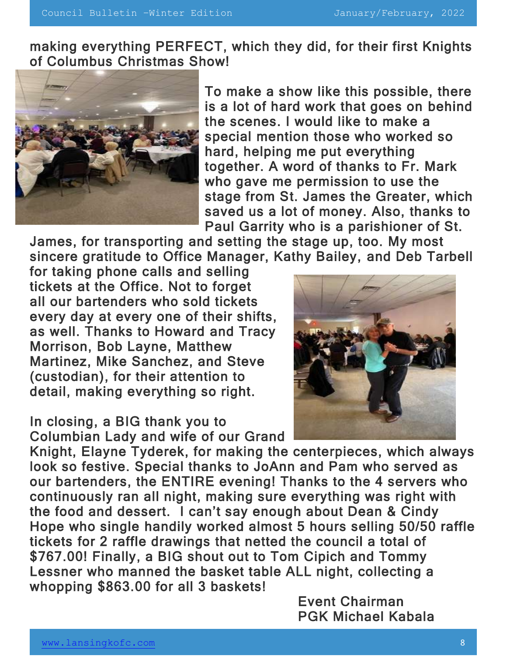making everything PERFECT, which they did, for their first Knights of Columbus Christmas Show!



To make a show like this possible, there is a lot of hard work that goes on behind the scenes. I would like to make a special mention those who worked so hard, helping me put everything together. A word of thanks to Fr. Mark who gave me permission to use the stage from St. James the Greater, which saved us a lot of money. Also, thanks to Paul Garrity who is a parishioner of St.

James, for transporting and setting the stage up, too. My most sincere gratitude to Office Manager, Kathy Bailey, and Deb Tarbell

for taking phone calls and selling tickets at the Office. Not to forget all our bartenders who sold tickets every day at every one of their shifts, as well. Thanks to Howard and Tracy Morrison, Bob Layne, Matthew Martinez, Mike Sanchez, and Steve (custodian), for their attention to detail, making everything so right.

In closing, a BIG thank you to Columbian Lady and wife of our Grand



Knight, Elayne Tyderek, for making the centerpieces, which always look so festive. Special thanks to JoAnn and Pam who served as our bartenders, the ENTIRE evening! Thanks to the 4 servers who continuously ran all night, making sure everything was right with the food and dessert. I can't say enough about Dean & Cindy Hope who single handily worked almost 5 hours selling 50/50 raffle tickets for 2 raffle drawings that netted the council a total of \$767.00! Finally, a BIG shout out to Tom Cipich and Tommy Lessner who manned the basket table ALL night, collecting a whopping \$863.00 for all 3 baskets!

> Event Chairman PGK Michael Kabala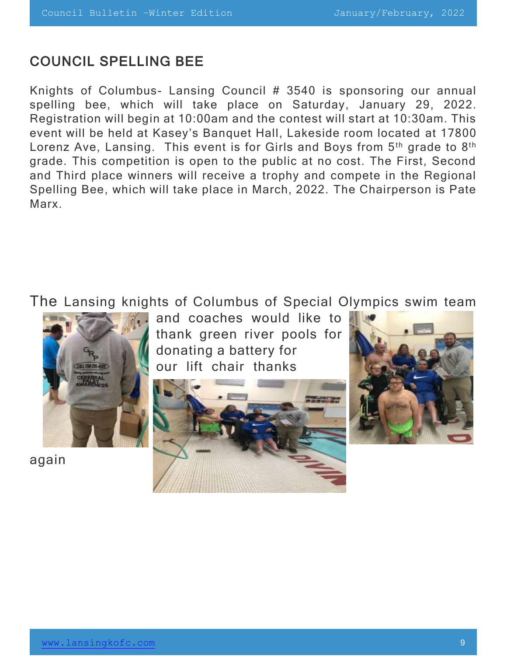#### COUNCIL SPELLING BEE

Knights of Columbus- Lansing Council # 3540 is sponsoring our annual spelling bee, which will take place on Saturday, January 29, 2022. Registration will begin at 10:00am and the contest will start at 10:30am. This event will be held at Kasey's Banquet Hall, Lakeside room located at 17800 Lorenz Ave, Lansing. This event is for Girls and Boys from 5<sup>th</sup> grade to 8<sup>th</sup> grade. This competition is open to the public at no cost. The First, Second and Third place winners will receive a trophy and compete in the Regional Spelling Bee, which will take place in March, 2022. The Chairperson is Pate Marx.

The Lansing knights of Columbus of Special Olympics swim team



again

and coaches would like to thank green river pools for donating a battery for our lift chair thanks



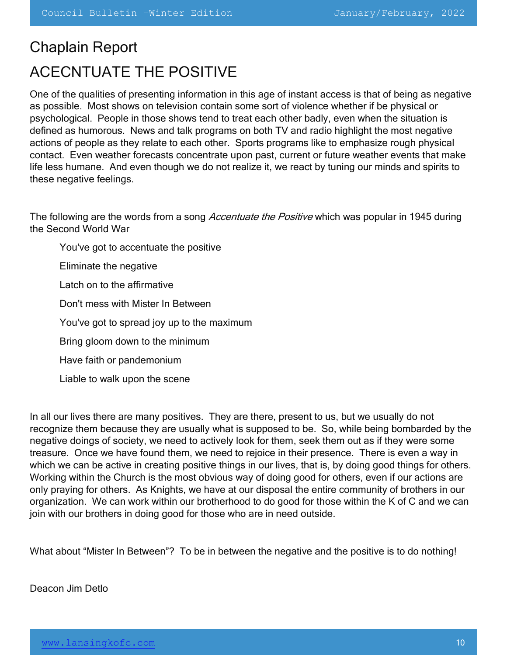# Chaplain Report ACECNTUATE THE POSITIVE

One of the qualities of presenting information in this age of instant access is that of being as negative as possible. Most shows on television contain some sort of violence whether if be physical or psychological. People in those shows tend to treat each other badly, even when the situation is defined as humorous. News and talk programs on both TV and radio highlight the most negative actions of people as they relate to each other. Sports programs like to emphasize rough physical contact. Even weather forecasts concentrate upon past, current or future weather events that make life less humane. And even though we do not realize it, we react by tuning our minds and spirits to these negative feelings.

The following are the words from a song *Accentuate the Positive* which was popular in 1945 during the Second World War

You've got to accentuate the positive

Eliminate the negative

Latch on to the affirmative

Don't mess with Mister In Between

You've got to spread joy up to the maximum

Bring gloom down to the minimum

Have faith or pandemonium

Liable to walk upon the scene

In all our lives there are many positives. They are there, present to us, but we usually do not recognize them because they are usually what is supposed to be. So, while being bombarded by the negative doings of society, we need to actively look for them, seek them out as if they were some treasure. Once we have found them, we need to rejoice in their presence. There is even a way in which we can be active in creating positive things in our lives, that is, by doing good things for others. Working within the Church is the most obvious way of doing good for others, even if our actions are only praying for others. As Knights, we have at our disposal the entire community of brothers in our organization. We can work within our brotherhood to do good for those within the K of C and we can join with our brothers in doing good for those who are in need outside.

What about "Mister In Between"? To be in between the negative and the positive is to do nothing!

Deacon Jim Detlo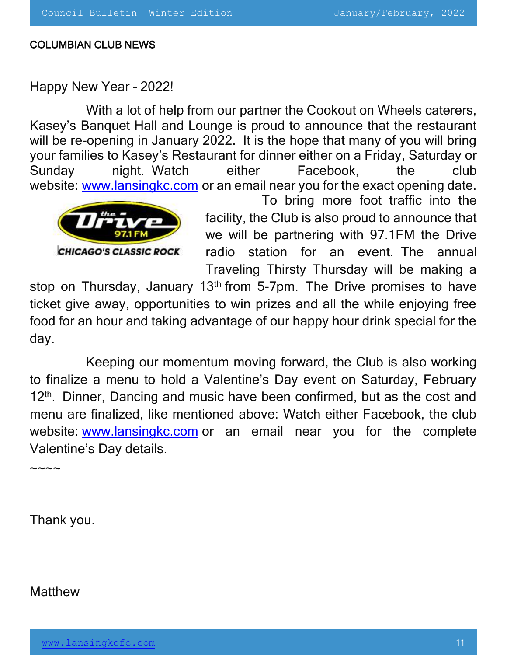#### COLUMBIAN CLUB NEWS

#### Happy New Year – 2022!

With a lot of help from our partner the Cookout on Wheels caterers, Kasey's Banquet Hall and Lounge is proud to announce that the restaurant will be re-opening in January 2022. It is the hope that many of you will bring your families to Kasey's Restaurant for dinner either on a Friday, Saturday or Sunday night. Watch either Facebook, the club website: www.lansingkc.com or an email near you for the exact opening date.



To bring more foot traffic into the facility, the Club is also proud to announce that we will be partnering with 97.1FM the Drive radio station for an event. The annual Traveling Thirsty Thursday will be making a

stop on Thursday, January 13<sup>th</sup> from 5-7pm. The Drive promises to have ticket give away, opportunities to win prizes and all the while enjoying free food for an hour and taking advantage of our happy hour drink special for the day.

Keeping our momentum moving forward, the Club is also working to finalize a menu to hold a Valentine's Day event on Saturday, February 12<sup>th</sup>. Dinner, Dancing and music have been confirmed, but as the cost and menu are finalized, like mentioned above: Watch either Facebook, the club website: www.lansingkc.com or an email near you for the complete Valentine's Day details.

 $\sim\sim\sim\sim$ 

Thank you.

**Matthew**